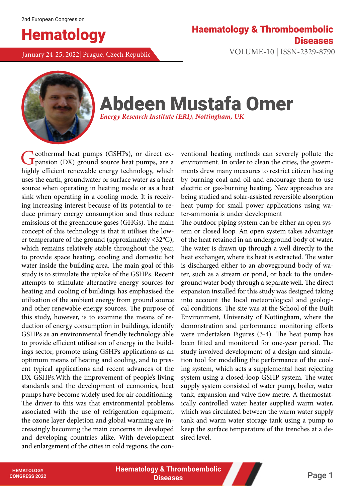January 24-25, 2022| Prague, Czech Republic VOLUME-10 | ISSN-2329-8790

## Hematology Haematology & Thromboembolic **Diseases**



# Abdeen Mustafa Omer

*Energy Research Institute (ERI), Nottingham, UK*

Geothermal heat pumps (GSHPs), or direct expansion (DX) ground source heat pumps, are a highly efficient renewable energy technology, which uses the earth, groundwater or surface water as a heat source when operating in heating mode or as a heat sink when operating in a cooling mode. It is receiving increasing interest because of its potential to reduce primary energy consumption and thus reduce emissions of the greenhouse gases (GHGs). The main concept of this technology is that it utilises the lower temperature of the ground (approximately <32°C), which remains relatively stable throughout the year, to provide space heating, cooling and domestic hot water inside the building area. The main goal of this study is to stimulate the uptake of the GSHPs. Recent attempts to stimulate alternative energy sources for heating and cooling of buildings has emphasised the utilisation of the ambient energy from ground source and other renewable energy sources. The purpose of this study, however, is to examine the means of reduction of energy consumption in buildings, identify GSHPs as an environmental friendly technology able to provide efficient utilisation of energy in the buildings sector, promote using GSHPs applications as an optimum means of heating and cooling, and to present typical applications and recent advances of the DX GSHPs.With the improvement of people's living standards and the development of economies, heat pumps have become widely used for air conditioning. The driver to this was that environmental problems associated with the use of refrigeration equipment, the ozone layer depletion and global warming are increasingly becoming the main concerns in developed and developing countries alike. With development and enlargement of the cities in cold regions, the conventional heating methods can severely pollute the environment. In order to clean the cities, the governments drew many measures to restrict citizen heating by burning coal and oil and encourage them to use electric or gas-burning heating. New approaches are being studied and solar-assisted reversible absorption heat pump for small power applications using water-ammonia is under development

The outdoor piping system can be either an open system or closed loop. An open system takes advantage of the heat retained in an underground body of water. The water is drawn up through a well directly to the heat exchanger, where its heat is extracted. The water is discharged either to an aboveground body of water, such as a stream or pond, or back to the underground water body through a separate well. The direct expansion installed for this study was designed taking into account the local meteorological and geological conditions. The site was at the School of the Built Environment, University of Nottingham, where the demonstration and performance monitoring efforts were undertaken Figures (3-4). The heat pump has been fitted and monitored for one-year period. The study involved development of a design and simulation tool for modelling the performance of the cooling system, which acts a supplemental heat rejecting system using a closed-loop GSHP system. The water supply system consisted of water pump, boiler, water tank, expansion and valve flow metre. A thermostatically controlled water heater supplied warm water, which was circulated between the warm water supply tank and warm water storage tank using a pump to keep the surface temperature of the trenches at a desired level.

Page 1 **HEMATOLOGY Haematology & Thromboembolic Diseases**